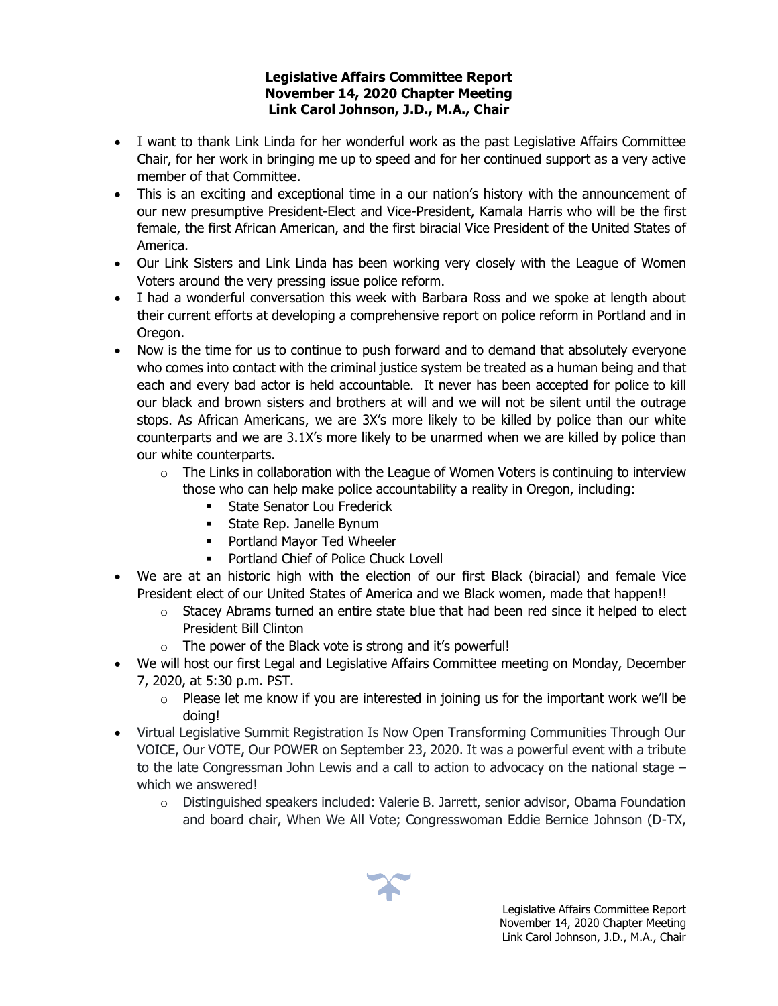## **Legislative Affairs Committee Report November 14, 2020 Chapter Meeting Link Carol Johnson, J.D., M.A., Chair**

- I want to thank Link Linda for her wonderful work as the past Legislative Affairs Committee Chair, for her work in bringing me up to speed and for her continued support as a very active member of that Committee.
- This is an exciting and exceptional time in a our nation's history with the announcement of our new presumptive President-Elect and Vice-President, Kamala Harris who will be the first female, the first African American, and the first biracial Vice President of the United States of America.
- Our Link Sisters and Link Linda has been working very closely with the League of Women Voters around the very pressing issue police reform.
- I had a wonderful conversation this week with Barbara Ross and we spoke at length about their current efforts at developing a comprehensive report on police reform in Portland and in Oregon.
- Now is the time for us to continue to push forward and to demand that absolutely everyone who comes into contact with the criminal justice system be treated as a human being and that each and every bad actor is held accountable. It never has been accepted for police to kill our black and brown sisters and brothers at will and we will not be silent until the outrage stops. As African Americans, we are 3X's more likely to be killed by police than our white counterparts and we are 3.1X's more likely to be unarmed when we are killed by police than our white counterparts.
	- $\circ$  The Links in collaboration with the League of Women Voters is continuing to interview those who can help make police accountability a reality in Oregon, including:
		- **Exercise Senator Lou Frederick**
		- **EXEC** State Rep. Janelle Bynum
		- Portland Mayor Ted Wheeler
		- Portland Chief of Police Chuck Lovell
- We are at an historic high with the election of our first Black (biracial) and female Vice President elect of our United States of America and we Black women, made that happen!!
	- $\circ$  Stacey Abrams turned an entire state blue that had been red since it helped to elect President Bill Clinton
	- $\circ$  The power of the Black vote is strong and it's powerful!
- We will host our first Legal and Legislative Affairs Committee meeting on Monday, December 7, 2020, at 5:30 p.m. PST.
	- $\circ$  Please let me know if you are interested in joining us for the important work we'll be doing!
- Virtual Legislative Summit Registration Is Now Open Transforming Communities Through Our VOICE, Our VOTE, Our POWER on September 23, 2020. It was a powerful event with a tribute to the late Congressman John Lewis and a call to action to advocacy on the national stage – which we answered!
	- $\circ$  Distinguished speakers included: Valerie B. Jarrett, senior advisor, Obama Foundation and board chair, When We All Vote; Congresswoman Eddie Bernice Johnson (D-TX,